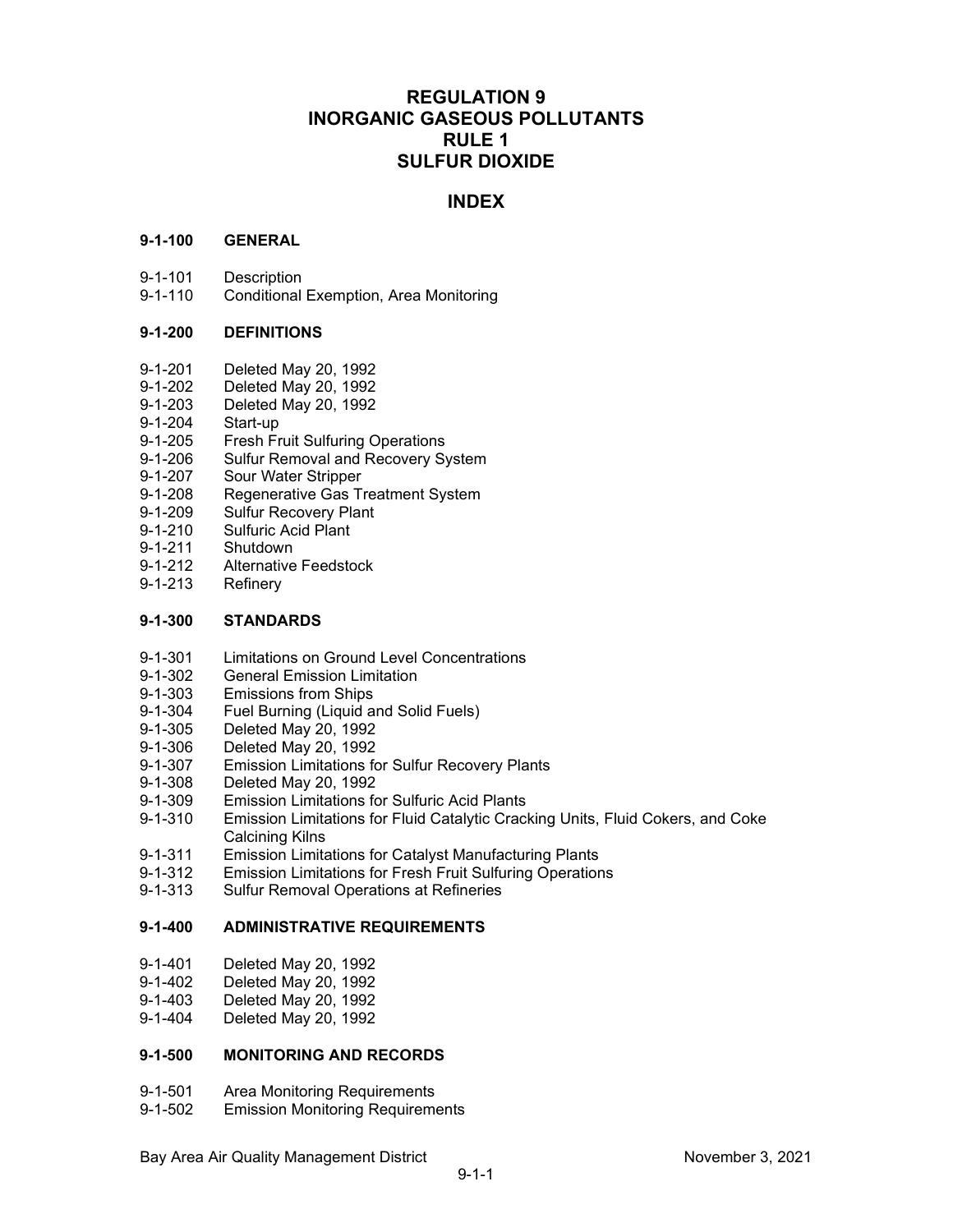## **REGULATION 9 INORGANIC GASEOUS POLLUTANTS RULE 1 SULFUR DIOXIDE**

## **INDEX**

## **9-1-100 GENERAL**

- 9-1-101 Description
- 9-1-110 Conditional Exemption, Area Monitoring

## **9-1-200 DEFINITIONS**

- 9-1-201 Deleted May 20, 1992<br>9-1-202 Deleted May 20, 1992
- 9-1-202 Deleted May 20, 1992<br>9-1-203 Deleted May 20, 1992
- Deleted May 20, 1992
- 9-1-204 Start-up<br>9-1-205 Fresh Fr
- **Fresh Fruit Sulfuring Operations**
- 9-1-206 Sulfur Removal and Recovery System
- 9-1-207 Sour Water Stripper
- 9-1-208 Regenerative Gas Treatment System
- 9-1-209 Sulfur Recovery Plant<br>9-1-210 Sulfuric Acid Plant
- 9-1-210 Sulfuric Acid Plant<br>9-1-211 Shutdown
- Shutdown
- 9-1-212 Alternative Feedstock<br>9-1-213 Refinerv
- Refinery

## **9-1-300 STANDARDS**

- 9-1-301 Limitations on Ground Level Concentrations<br>9-1-302 General Emission Limitation
- **General Emission Limitation**
- 9-1-303 Emissions from Ships<br>9-1-304 Fuel Burning (Liguid a
- 9-1-304 Fuel Burning (Liquid and Solid Fuels)<br>9-1-305 Deleted Mav 20. 1992
- 9-1-305 Deleted May 20, 1992
- Deleted May 20, 1992
- 9-1-307 Emission Limitations for Sulfur Recovery Plants
- 9-1-308 Deleted May 20, 1992
- 9-1-309 Emission Limitations for Sulfuric Acid Plants
- 9-1-310 Emission Limitations for Fluid Catalytic Cracking Units, Fluid Cokers, and Coke Calcining Kilns
- 9-1-311 Emission Limitations for Catalyst Manufacturing Plants<br>9-1-312 Emission Limitations for Fresh Fruit Sulfuring Operatior
- Emission Limitations for Fresh Fruit Sulfuring Operations
- 9-1-313 Sulfur Removal Operations at Refineries

## **9-1-400 ADMINISTRATIVE REQUIREMENTS**

- 9-1-401 Deleted May 20, 1992
- 9-1-402 Deleted May 20, 1992
- 9-1-403 Deleted May 20, 1992<br>9-1-404 Deleted May 20, 1992
- Deleted May 20, 1992

## **9-1-500 MONITORING AND RECORDS**

- 9-1-501 Area Monitoring Requirements
- 9-1-502 Emission Monitoring Requirements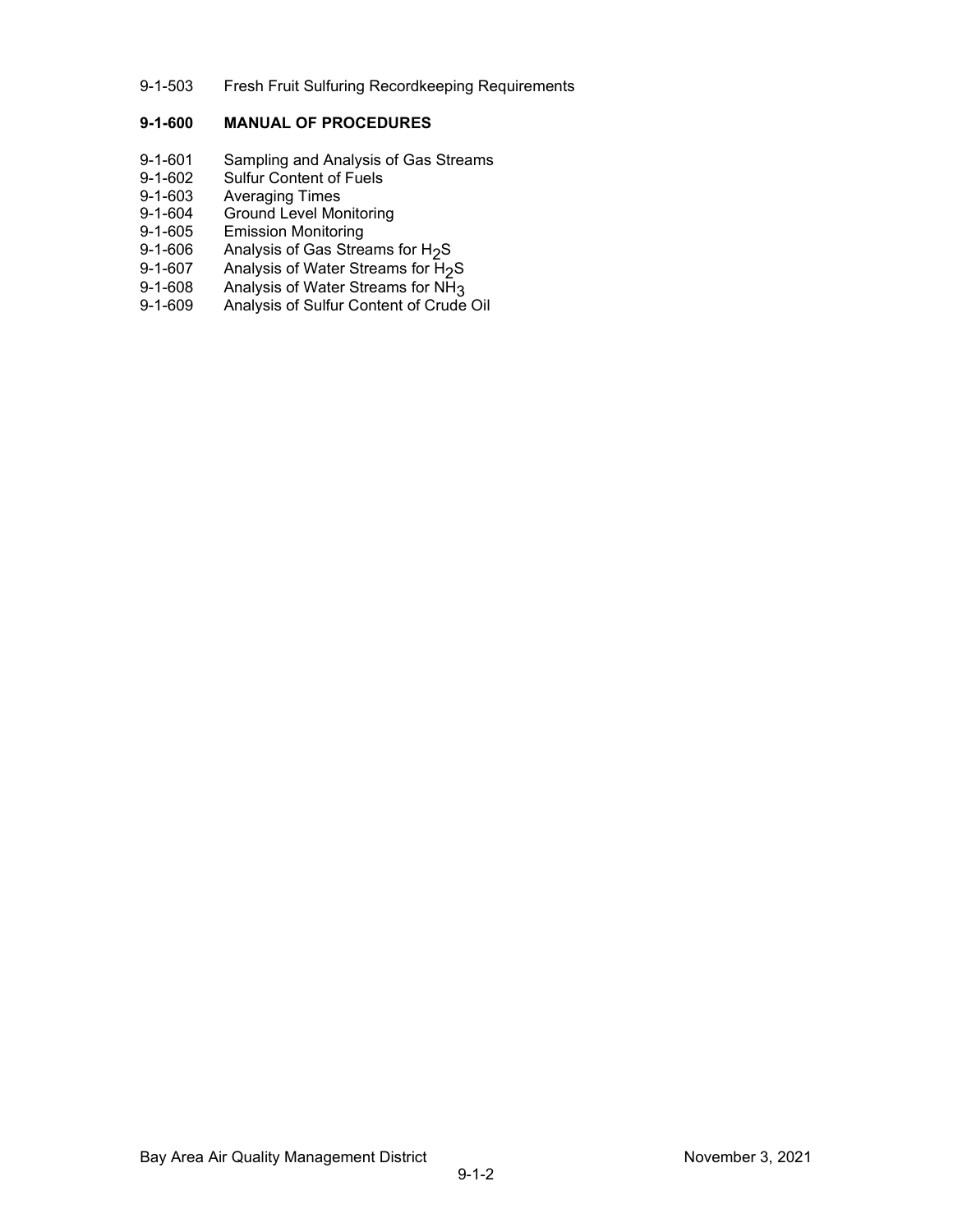## 9-1-503 Fresh Fruit Sulfuring Recordkeeping Requirements

## **9-1-600 MANUAL OF PROCEDURES**

- 9-1-601 Sampling and Analysis of Gas Streams
- 9-1-602 Sulfur Content of Fuels<br>9-1-603 Averaging Times
- 9-1-603 Averaging Times<br>9-1-604 Ground Level Mo
- 9-1-604 Ground Level Monitoring<br>9-1-605 Emission Monitoring
- 9-1-605 Emission Monitoring<br>9-1-606 Analysis of Gas Strea
- 9-1-606 Analysis of Gas Streams for H<sub>2</sub>S<br>9-1-607 Analysis of Water Streams for H<sub>2</sub>
- 9-1-607 Analysis of Water Streams for  $H_2$ S<br>9-1-608 Analysis of Water Streams for NH<sub>3</sub>
- 9-1-608 Analysis of Water Streams for NH<sub>3</sub><br>9-1-609 Analysis of Sulfur Content of Crude
- Analysis of Sulfur Content of Crude Oil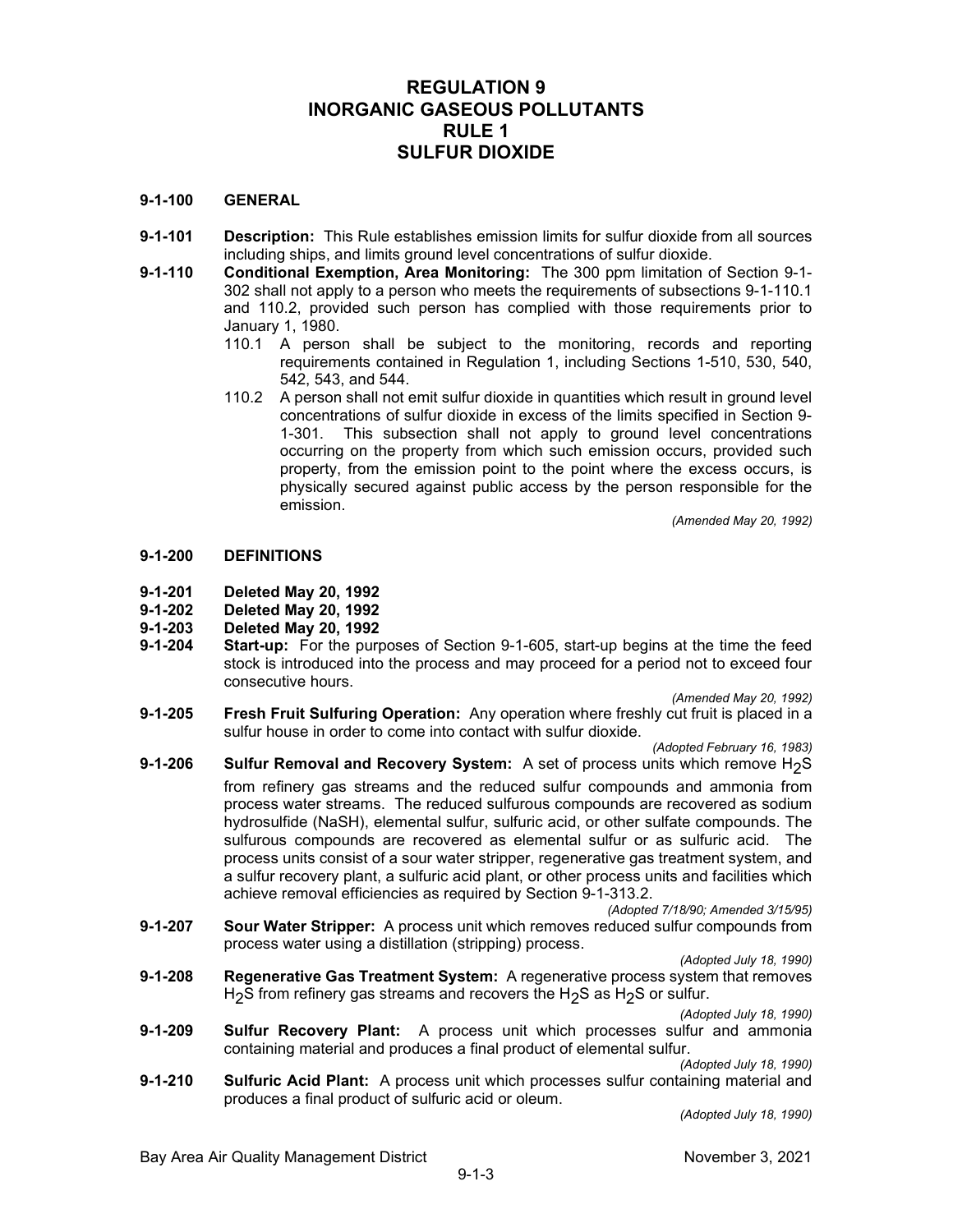## **REGULATION 9 INORGANIC GASEOUS POLLUTANTS RULE 1 SULFUR DIOXIDE**

## **9-1-100 GENERAL**

- **9-1-101 Description:** This Rule establishes emission limits for sulfur dioxide from all sources including ships, and limits ground level concentrations of sulfur dioxide.
- **9-1-110 Conditional Exemption, Area Monitoring:** The 300 ppm limitation of Section 9-1- 302 shall not apply to a person who meets the requirements of subsections 9-1-110.1 and 110.2, provided such person has complied with those requirements prior to January 1, 1980.
	- 110.1 A person shall be subject to the monitoring, records and reporting requirements contained in Regulation 1, including Sections 1-510, 530, 540, 542, 543, and 544.
	- 110.2 A person shall not emit sulfur dioxide in quantities which result in ground level concentrations of sulfur dioxide in excess of the limits specified in Section 9- 1-301. This subsection shall not apply to ground level concentrations occurring on the property from which such emission occurs, provided such property, from the emission point to the point where the excess occurs, is physically secured against public access by the person responsible for the emission.

*(Amended May 20, 1992)*

## **9-1-200 DEFINITIONS**

- 
- **9-1-201 Deleted May 20, 1992 9-1-202 Deleted May 20, 1992**

**9-1-203 Deleted May 20, 1992 Start-up:** For the purposes of Section 9-1-605, start-up begins at the time the feed stock is introduced into the process and may proceed for a period not to exceed four consecutive hours.

*(Amended May 20, 1992)*

**9-1-205 Fresh Fruit Sulfuring Operation:** Any operation where freshly cut fruit is placed in a sulfur house in order to come into contact with sulfur dioxide.

*(Adopted February 16, 1983)*

- **9-1-206 Sulfur Removal and Recovery System:** A set of process units which remove H<sub>2</sub>S from refinery gas streams and the reduced sulfur compounds and ammonia from process water streams. The reduced sulfurous compounds are recovered as sodium hydrosulfide (NaSH), elemental sulfur, sulfuric acid, or other sulfate compounds. The sulfurous compounds are recovered as elemental sulfur or as sulfuric acid. The process units consist of a sour water stripper, regenerative gas treatment system, and a sulfur recovery plant, a sulfuric acid plant, or other process units and facilities which achieve removal efficiencies as required by Section 9-1-313.2.
- *(Adopted 7/18/90; Amended 3/15/95)* **9-1-207 Sour Water Stripper:** A process unit which removes reduced sulfur compounds from process water using a distillation (stripping) process.

*(Adopted July 18, 1990)*

**9-1-208 Regenerative Gas Treatment System:** A regenerative process system that removes H<sub>2</sub>S from refinery gas streams and recovers the H<sub>2</sub>S as H<sub>2</sub>S or sulfur.

*(Adopted July 18, 1990)*

**9-1-209 Sulfur Recovery Plant:** A process unit which processes sulfur and ammonia containing material and produces a final product of elemental sulfur. *(Adopted July 18, 1990)*

**9-1-210 Sulfuric Acid Plant:** A process unit which processes sulfur containing material and produces a final product of sulfuric acid or oleum.

*(Adopted July 18, 1990)*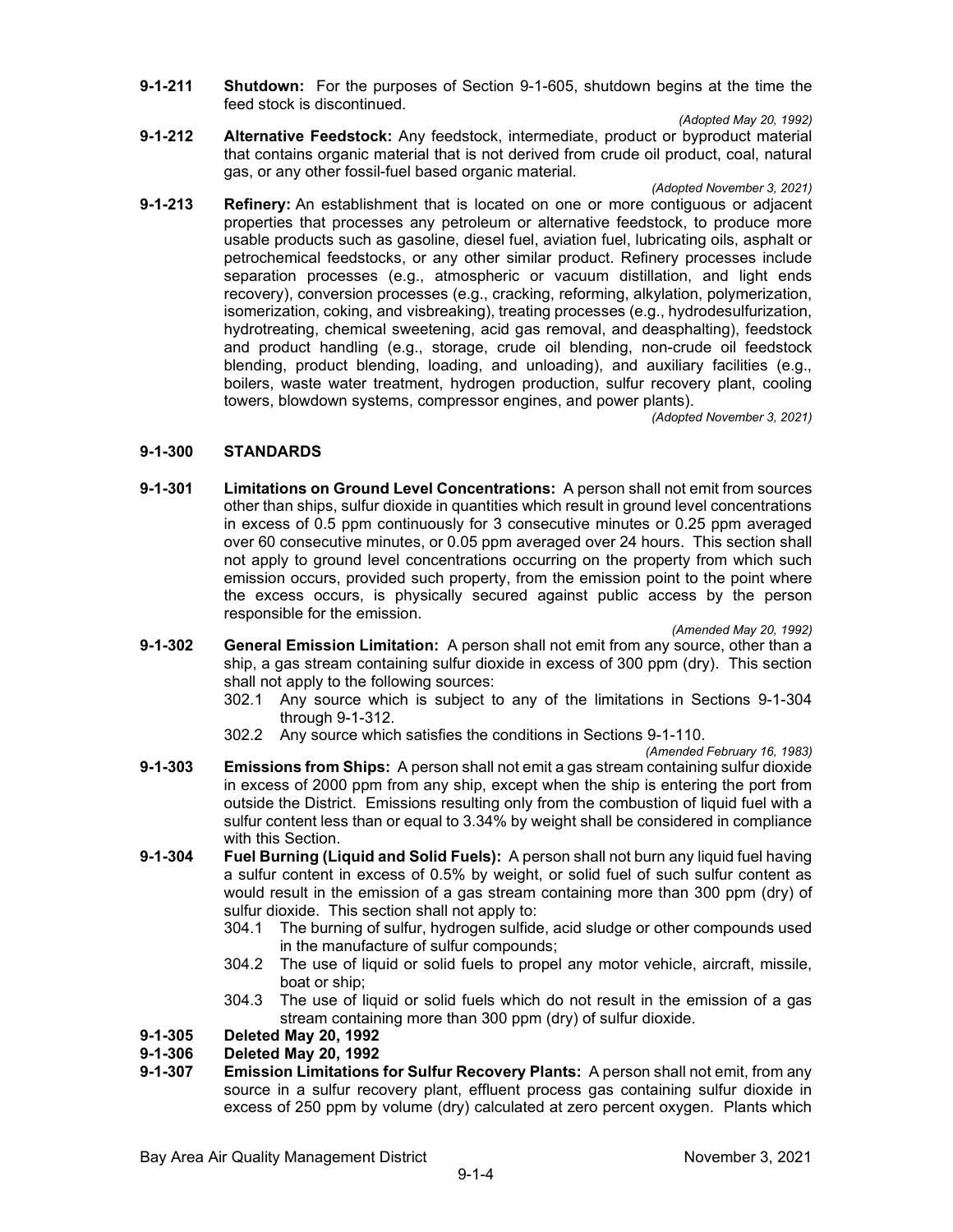**9-1-211 Shutdown:** For the purposes of Section 9-1-605, shutdown begins at the time the feed stock is discontinued.

*(Adopted May 20, 1992)*

**9-1-212 Alternative Feedstock:** Any feedstock, intermediate, product or byproduct material that contains organic material that is not derived from crude oil product, coal, natural gas, or any other fossil-fuel based organic material.

*(Adopted November 3, 2021)*

**9-1-213 Refinery:** An establishment that is located on one or more contiguous or adjacent properties that processes any petroleum or alternative feedstock, to produce more usable products such as gasoline, diesel fuel, aviation fuel, lubricating oils, asphalt or petrochemical feedstocks, or any other similar product. Refinery processes include separation processes (e.g., atmospheric or vacuum distillation, and light ends recovery), conversion processes (e.g., cracking, reforming, alkylation, polymerization, isomerization, coking, and visbreaking), treating processes (e.g., hydrodesulfurization, hydrotreating, chemical sweetening, acid gas removal, and deasphalting), feedstock and product handling (e.g., storage, crude oil blending, non-crude oil feedstock blending, product blending, loading, and unloading), and auxiliary facilities (e.g., boilers, waste water treatment, hydrogen production, sulfur recovery plant, cooling towers, blowdown systems, compressor engines, and power plants).

*(Adopted November 3, 2021)*

## **9-1-300 STANDARDS**

**9-1-301 Limitations on Ground Level Concentrations:** A person shall not emit from sources other than ships, sulfur dioxide in quantities which result in ground level concentrations in excess of 0.5 ppm continuously for 3 consecutive minutes or 0.25 ppm averaged over 60 consecutive minutes, or 0.05 ppm averaged over 24 hours. This section shall not apply to ground level concentrations occurring on the property from which such emission occurs, provided such property, from the emission point to the point where the excess occurs, is physically secured against public access by the person responsible for the emission.

*(Amended May 20, 1992)*

- **9-1-302 General Emission Limitation:** A person shall not emit from any source, other than a ship, a gas stream containing sulfur dioxide in excess of 300 ppm (dry). This section shall not apply to the following sources:
	- 302.1 Any source which is subject to any of the limitations in Sections 9-1-304 through 9-1-312.
	- 302.2 Any source which satisfies the conditions in Sections 9-1-110.

*(Amended February 16, 1983)*

- **9-1-303 Emissions from Ships:** A person shall not emit a gas stream containing sulfur dioxide in excess of 2000 ppm from any ship, except when the ship is entering the port from outside the District. Emissions resulting only from the combustion of liquid fuel with a sulfur content less than or equal to 3.34% by weight shall be considered in compliance with this Section.
- **9-1-304 Fuel Burning (Liquid and Solid Fuels):** A person shall not burn any liquid fuel having a sulfur content in excess of 0.5% by weight, or solid fuel of such sulfur content as would result in the emission of a gas stream containing more than 300 ppm (dry) of sulfur dioxide. This section shall not apply to:
	- 304.1 The burning of sulfur, hydrogen sulfide, acid sludge or other compounds used in the manufacture of sulfur compounds;
	- 304.2 The use of liquid or solid fuels to propel any motor vehicle, aircraft, missile, boat or ship;
	- 304.3 The use of liquid or solid fuels which do not result in the emission of a gas stream containing more than 300 ppm (dry) of sulfur dioxide.

# **9-1-305 Deleted May 20, 1992**

# **9-1-306 Deleted May 20, 1992**

**Emission Limitations for Sulfur Recovery Plants:** A person shall not emit, from any source in a sulfur recovery plant, effluent process gas containing sulfur dioxide in excess of 250 ppm by volume (dry) calculated at zero percent oxygen. Plants which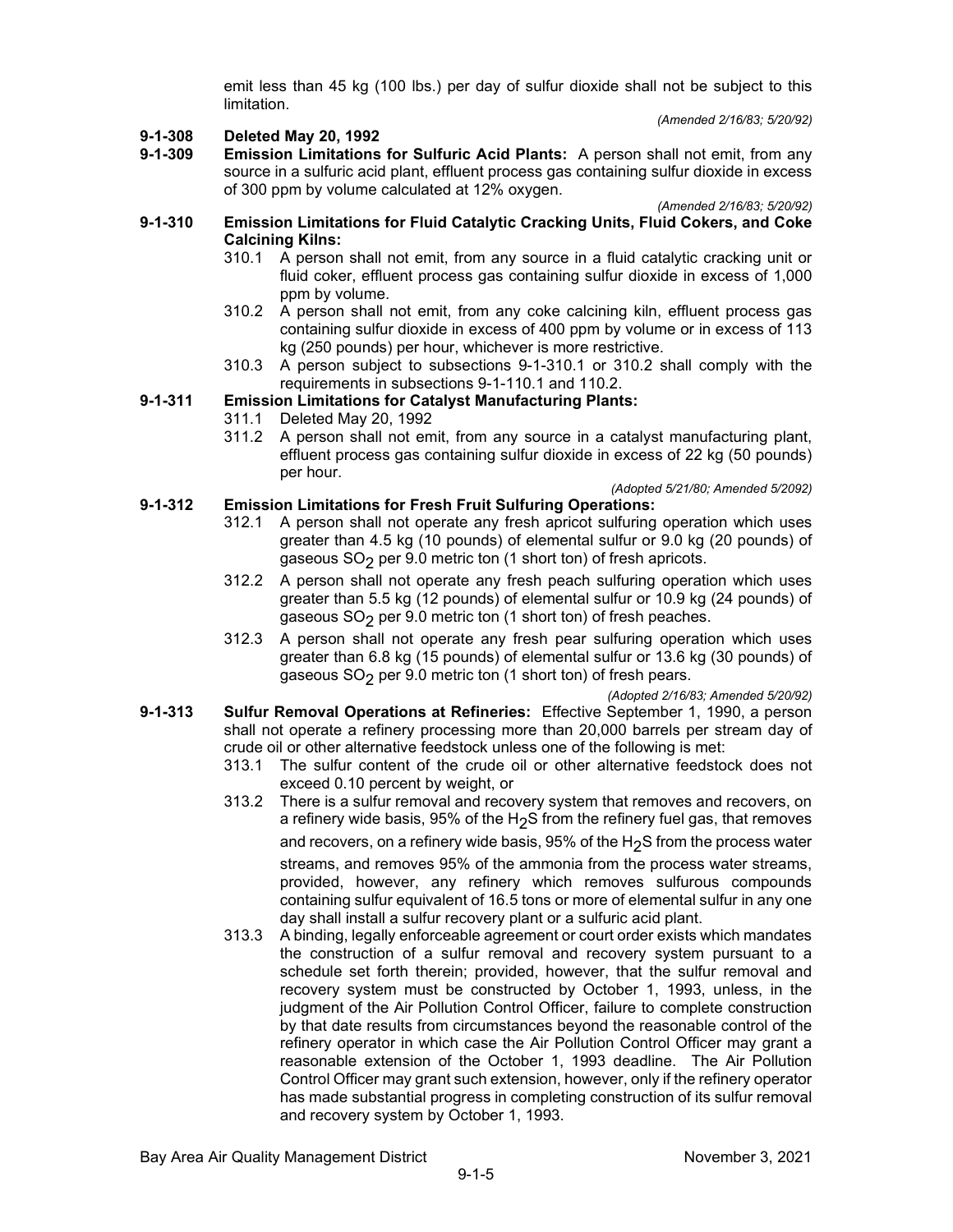emit less than 45 kg (100 lbs.) per day of sulfur dioxide shall not be subject to this limitation.

*(Amended 2/16/83; 5/20/92)*

# **9-1-308 Deleted May 20, 1992**

**Emission Limitations for Sulfuric Acid Plants:** A person shall not emit, from any source in a sulfuric acid plant, effluent process gas containing sulfur dioxide in excess of 300 ppm by volume calculated at 12% oxygen.

*(Amended 2/16/83; 5/20/92)*

- **9-1-310 Emission Limitations for Fluid Catalytic Cracking Units, Fluid Cokers, and Coke Calcining Kilns:**
	- 310.1 A person shall not emit, from any source in a fluid catalytic cracking unit or fluid coker, effluent process gas containing sulfur dioxide in excess of 1,000 ppm by volume.
	- 310.2 A person shall not emit, from any coke calcining kiln, effluent process gas containing sulfur dioxide in excess of 400 ppm by volume or in excess of 113 kg (250 pounds) per hour, whichever is more restrictive.
	- 310.3 A person subject to subsections 9-1-310.1 or 310.2 shall comply with the requirements in subsections 9-1-110.1 and 110.2.

## **9-1-311 Emission Limitations for Catalyst Manufacturing Plants:**

- 311.1 Deleted May 20, 1992
- 311.2 A person shall not emit, from any source in a catalyst manufacturing plant, effluent process gas containing sulfur dioxide in excess of 22 kg (50 pounds) per hour.

### *(Adopted 5/21/80; Amended 5/2092)* **9-1-312 Emission Limitations for Fresh Fruit Sulfuring Operations:**

- 312.1 A person shall not operate any fresh apricot sulfuring operation which uses greater than 4.5 kg (10 pounds) of elemental sulfur or 9.0 kg (20 pounds) of gaseous  $SO<sub>2</sub>$  per 9.0 metric ton (1 short ton) of fresh apricots.
- 312.2 A person shall not operate any fresh peach sulfuring operation which uses greater than 5.5 kg (12 pounds) of elemental sulfur or 10.9 kg (24 pounds) of gaseous  $SO<sub>2</sub>$  per 9.0 metric ton (1 short ton) of fresh peaches.
- 312.3 A person shall not operate any fresh pear sulfuring operation which uses greater than 6.8 kg (15 pounds) of elemental sulfur or 13.6 kg (30 pounds) of gaseous  $SO<sub>2</sub>$  per 9.0 metric ton (1 short ton) of fresh pears.

*(Adopted 2/16/83; Amended 5/20/92)*

- **9-1-313 Sulfur Removal Operations at Refineries:** Effective September 1, 1990, a person shall not operate a refinery processing more than 20,000 barrels per stream day of crude oil or other alternative feedstock unless one of the following is met:
	- 313.1 The sulfur content of the crude oil or other alternative feedstock does not exceed 0.10 percent by weight, or
	- 313.2 There is a sulfur removal and recovery system that removes and recovers, on a refinery wide basis, 95% of the H<sub>2</sub>S from the refinery fuel gas, that removes and recovers, on a refinery wide basis,  $95\%$  of the H<sub>2</sub>S from the process water streams, and removes 95% of the ammonia from the process water streams, provided, however, any refinery which removes sulfurous compounds containing sulfur equivalent of 16.5 tons or more of elemental sulfur in any one day shall install a sulfur recovery plant or a sulfuric acid plant.
	- 313.3 A binding, legally enforceable agreement or court order exists which mandates the construction of a sulfur removal and recovery system pursuant to a schedule set forth therein; provided, however, that the sulfur removal and recovery system must be constructed by October 1, 1993, unless, in the judgment of the Air Pollution Control Officer, failure to complete construction by that date results from circumstances beyond the reasonable control of the refinery operator in which case the Air Pollution Control Officer may grant a reasonable extension of the October 1, 1993 deadline. The Air Pollution Control Officer may grant such extension, however, only if the refinery operator has made substantial progress in completing construction of its sulfur removal and recovery system by October 1, 1993.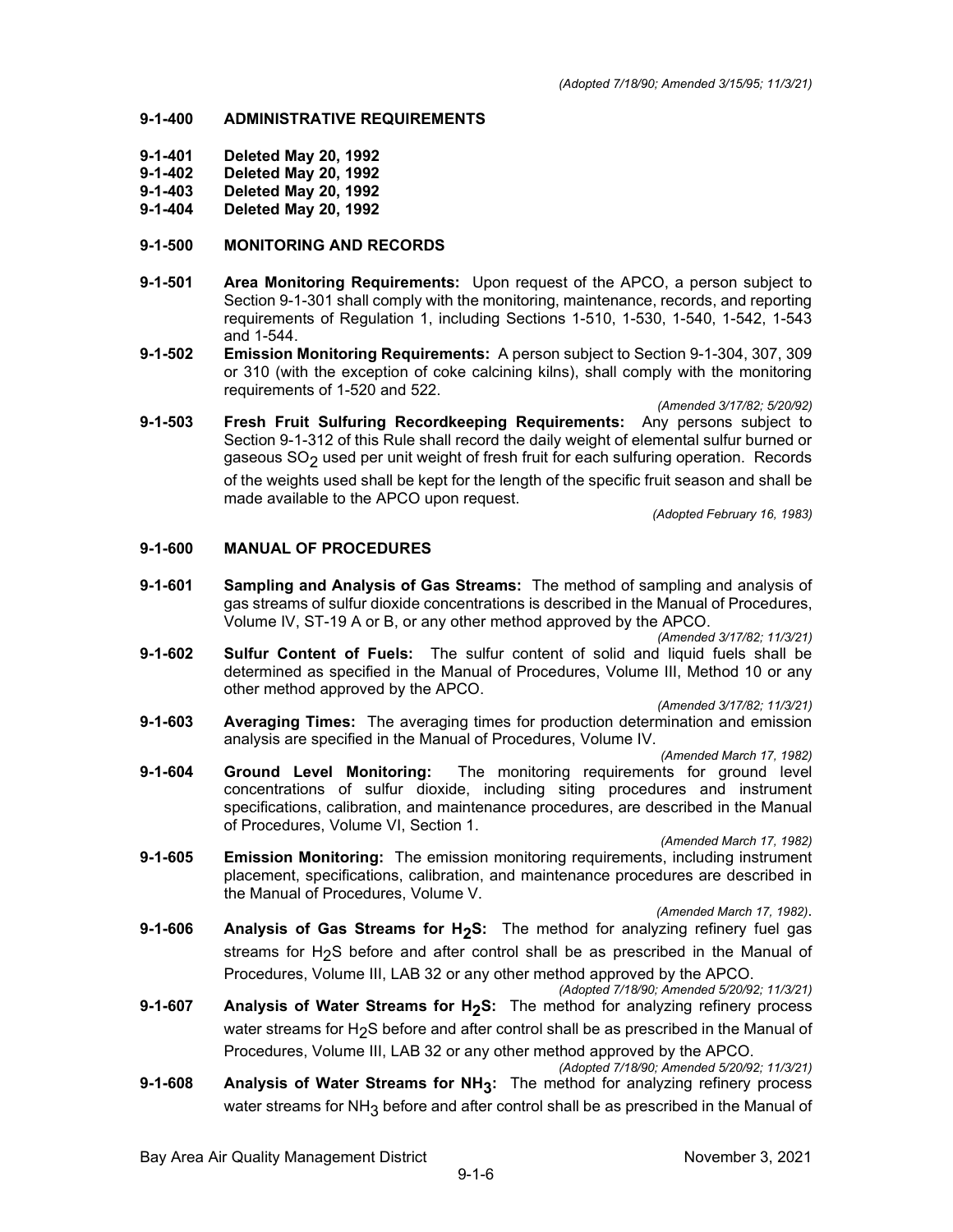## **9-1-400 ADMINISTRATIVE REQUIREMENTS**

- **9-1-401 Deleted May 20, 1992**
- **9-1-402 Deleted May 20, 1992**
- **9-1-403 Deleted May 20, 1992**
- **9-1-404 Deleted May 20, 1992**

## **9-1-500 MONITORING AND RECORDS**

- **9-1-501 Area Monitoring Requirements:** Upon request of the APCO, a person subject to Section 9-1-301 shall comply with the monitoring, maintenance, records, and reporting requirements of Regulation 1, including Sections 1-510, 1-530, 1-540, 1-542, 1-543 and 1-544.
- **9-1-502 Emission Monitoring Requirements:** A person subject to Section 9-1-304, 307, 309 or 310 (with the exception of coke calcining kilns), shall comply with the monitoring requirements of 1-520 and 522.

*(Amended 3/17/82; 5/20/92)*

**9-1-503 Fresh Fruit Sulfuring Recordkeeping Requirements:** Any persons subject to Section 9-1-312 of this Rule shall record the daily weight of elemental sulfur burned or gaseous  $SO<sub>2</sub>$  used per unit weight of fresh fruit for each sulfuring operation. Records of the weights used shall be kept for the length of the specific fruit season and shall be made available to the APCO upon request.

*(Adopted February 16, 1983)*

## **9-1-600 MANUAL OF PROCEDURES**

**9-1-601 Sampling and Analysis of Gas Streams:** The method of sampling and analysis of gas streams of sulfur dioxide concentrations is described in the Manual of Procedures, Volume IV, ST-19 A or B, or any other method approved by the APCO.

*(Amended 3/17/82; 11/3/21)*

**9-1-602 Sulfur Content of Fuels:** The sulfur content of solid and liquid fuels shall be determined as specified in the Manual of Procedures, Volume III, Method 10 or any other method approved by the APCO.

*(Amended 3/17/82; 11/3/21)*

**9-1-603 Averaging Times:** The averaging times for production determination and emission analysis are specified in the Manual of Procedures, Volume IV.

*(Amended March 17, 1982)*

**9-1-604 Ground Level Monitoring:** The monitoring requirements for ground level concentrations of sulfur dioxide, including siting procedures and instrument specifications, calibration, and maintenance procedures, are described in the Manual of Procedures, Volume VI, Section 1.

*(Amended March 17, 1982)*

**9-1-605 Emission Monitoring:** The emission monitoring requirements, including instrument placement, specifications, calibration, and maintenance procedures are described in the Manual of Procedures, Volume V.

*(Amended March 17, 1982)*.

**9-1-606 Analysis of Gas Streams for H<sub>2</sub>S:** The method for analyzing refinery fuel gas streams for H<sub>2</sub>S before and after control shall be as prescribed in the Manual of Procedures, Volume III, LAB 32 or any other method approved by the APCO.

*(Adopted 7/18/90; Amended 5/20/92; 11/3/21)* **9-1-607 Analysis of Water Streams for H<sub>2</sub>S:** The method for analyzing refinery process water streams for H<sub>2</sub>S before and after control shall be as prescribed in the Manual of Procedures, Volume III, LAB 32 or any other method approved by the APCO.

*(Adopted 7/18/90; Amended 5/20/92; 11/3/21)*

**9-1-608 Analysis of Water Streams for NH3:** The method for analyzing refinery process water streams for  $NH<sub>3</sub>$  before and after control shall be as prescribed in the Manual of